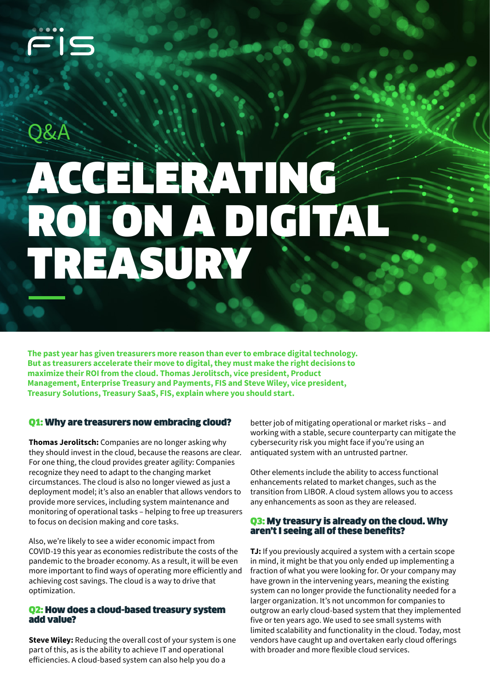# Q&A ACCELERATING ROI ON A DIGITAL TREASURY

**The past year has given treasurers more reason than ever to embrace digital technology. But as treasurers accelerate their move to digital, they must make the right decisions to maximize their ROI from the cloud. Thomas Jerolitsch, vice president, Product Management, Enterprise Treasury and Payments, FIS and Steve Wiley, vice president, Treasury Solutions, Treasury SaaS, FIS, explain where you should start.**

#### **Q1:** Why are treasurers now embracing cloud?

**Thomas Jerolitsch:** Companies are no longer asking why they should invest in the cloud, because the reasons are clear. For one thing, the cloud provides greater agility: Companies recognize they need to adapt to the changing market circumstances. The cloud is also no longer viewed as just a deployment model; it's also an enabler that allows vendors to provide more services, including system maintenance and monitoring of operational tasks – helping to free up treasurers to focus on decision making and core tasks.

Also, we're likely to see a wider economic impact from COVID-19 this year as economies redistribute the costs of the pandemic to the broader economy. As a result, it will be even more important to find ways of operating more efficiently and achieving cost savings. The cloud is a way to drive that optimization.

#### **Q2: How does a cloud-based treasury system** add value?

**Steve Wiley:** Reducing the overall cost of your system is one part of this, as is the ability to achieve IT and operational efficiencies. A cloud-based system can also help you do a

better job of mitigating operational or market risks – and working with a stable, secure counterparty can mitigate the cybersecurity risk you might face if you're using an antiquated system with an untrusted partner.

Other elements include the ability to access functional enhancements related to market changes, such as the transition from LIBOR. A cloud system allows you to access any enhancements as soon as they are released.

#### Q3: My treasury is already on the cloud. Why aren't I seeing all of these benefits?

**TJ:** If you previously acquired a system with a certain scope in mind, it might be that you only ended up implementing a fraction of what you were looking for. Or your company may have grown in the intervening years, meaning the existing system can no longer provide the functionality needed for a larger organization. It's not uncommon for companies to outgrow an early cloud-based system that they implemented five or ten years ago. We used to see small systems with limited scalability and functionality in the cloud. Today, most vendors have caught up and overtaken early cloud offerings with broader and more flexible cloud services.